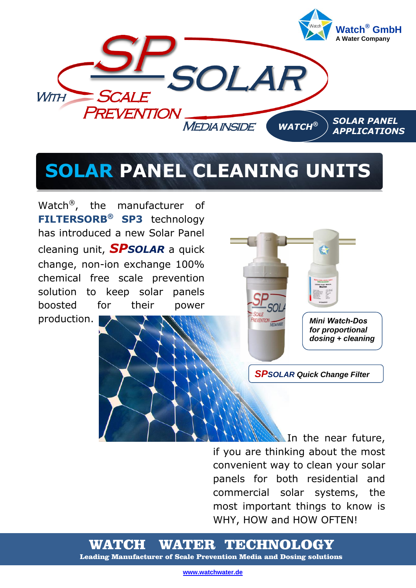

# **SOLAR PANEL CLEANING UNITS**

Watch®, the manufacturer of **FILTERSORB® SP3** technology has introduced a new Solar Panel cleaning unit, *SPSOLAR* a quick change, non-ion exchange 100% chemical free scale prevention solution to keep solar panels boosted for their power

production.



*SPSOLAR Quick Change Filter*

In the near future, if you are thinking about the most convenient way to clean your solar panels for both residential and commercial solar systems, the most important things to know is WHY, HOW and HOW OFTEN!

WATCH WATER TECHNOLOGY Leading Manufacturer of Scale Prevention Media and Dosing solutions

**[www.watchwater.de](http://www.watchwater.de/)**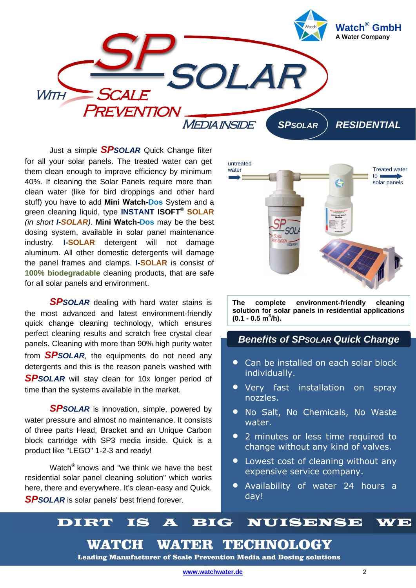

Just a simple *SPSOLAR* Quick Change filter for all your solar panels. The treated water can get them clean enough to improve efficiency by minimum 40%. If cleaning the Solar Panels require more than clean water (like for bird droppings and other hard stuff) you have to add **Mini Watch-Dos** System and a green cleaning liquid, type **INSTANT ISOFT® SOLAR**  *(in short I-SOLAR)*. **Mini Watch-Dos** may be the best dosing system, available in solar panel maintenance industry. **I-SOLAR** detergent will not damage aluminum. All other domestic detergents will damage the panel frames and clamps. **I-SOLAR** is consist of **100% biodegradable** cleaning products, that are safe for all solar panels and environment.

*SPSOLAR* dealing with hard water stains is the most advanced and latest environment-friendly quick change cleaning technology, which ensures perfect cleaning results and scratch free crystal clear panels. Cleaning with more than 90% high purity water from *SPSOLAR*, the equipments do not need any detergents and this is the reason panels washed with *SPSOLAR* will stay clean for 10x longer period of time than the systems available in the market.

*SPSOLAR* is innovation, simple, powered by water pressure and almost no maintenance. It consists of three parts Head, Bracket and an Unique Carbon block cartridge with SP3 media inside. Quick is a product like "LEGO" 1-2-3 and ready!

Watch® knows and "we think we have the best residential solar panel cleaning solution" which works here, there and everywhere. It's clean-easy and Quick. *SPSOLAR* is solar panels' best friend forever.



**The complete environment-friendly cleaning solution for solar panels in residential applications (0.1 - 0.5 m<sup>3</sup> /h).**

### *Benefits of SPSOLAR Quick Change*

- **Can be installed on each solar block** individually.
- **•** Very fast installation on spray nozzles.
- No Salt, No Chemicals, No Waste water.
- 2 minutes or less time required to change without any kind of valves.
- Lowest cost of cleaning without any expensive service company.
- Availability of water 24 hours a day!

# DIRT IS A BIG NUISENSE WE

WATCH WATER TECHNOLOGY

Leading Manufacturer of Scale Prevention Media and Dosing solutions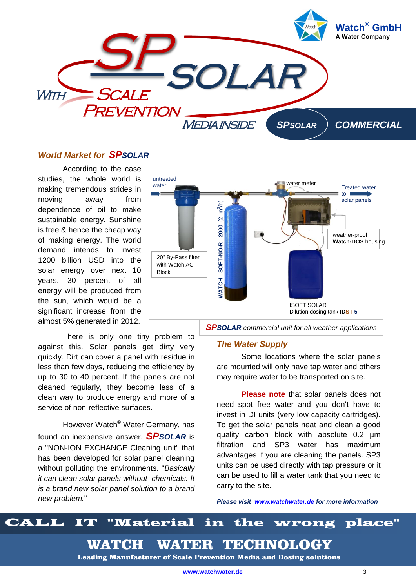

### *World Market for SPSOLAR*

According to the case studies, the whole world is making tremendous strides in moving away from dependence of oil to make sustainable energy. Sunshine is free & hence the cheap way of making energy. The world demand intends to invest 1200 billion USD into the solar energy over next 10 years. 30 percent of all energy will be produced from the sun, which would be a significant increase from the almost 5% generated in 2012.

There is only one tiny problem to against this. Solar panels get dirty very quickly. Dirt can cover a panel with residue in less than few days, reducing the efficiency by up to 30 to 40 percent. If the panels are not cleaned regularly, they become less of a clean way to produce energy and more of a service of non-reflective surfaces.

However Watch® Water Germany, has found an inexpensive answer. *SPSOLAR* is a "NON-ION EXCHANGE Cleaning unit" that has been developed for solar panel cleaning without polluting the environments. "*Basically it can clean solar panels without chemicals. It is a brand new solar panel solution to a brand new problem.*"



### *The Water Supply*

Some locations where the solar panels are mounted will only have tap water and others may require water to be transported on site.

**Please note** that solar panels does not need spot free water and you don't have to invest in DI units (very low capacity cartridges). To get the solar panels neat and clean a good quality carbon block with absolute 0.2 µm filtration and SP3 water has maximum advantages if you are cleaning the panels. SP3 units can be used directly with tap pressure or it can be used to fill a water tank that you need to carry to the site.

*Please visit [www.watchwater.de](http://www.watchwater.de/) for more information*

# CALL IT "Material in the wrong place"

WATCH WATER TECHNOLOGY

Leading Manufacturer of Scale Prevention Media and Dosing solutions